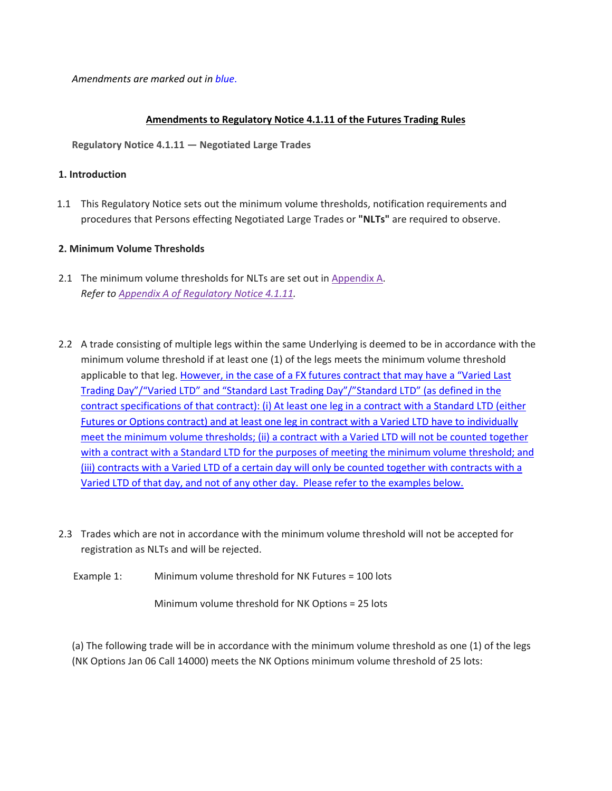*Amendments are marked out in blue*.

## **Amendments to Regulatory Notice 4.1.11 of the Futures Trading Rules**

**Regulatory Notice 4.1.11 — Negotiated Large Trades**

## **1. Introduction**

1.1 This Regulatory Notice sets out the minimum volume thresholds, notification requirements and procedures that Persons effecting Negotiated Large Trades or **"NLTs"** are required to observe.

## **2. Minimum Volume Thresholds**

- 2.1 The minimum volume thresholds for NLTs are set out in Appendix A. *Refer to Appendix A of Regulatory Notice 4.1.11.*
- 2.2 A trade consisting of multiple legs within the same Underlying is deemed to be in accordance with the minimum volume threshold if at least one (1) of the legs meets the minimum volume threshold applicable to that leg. However, in the case of a FX futures contract that may have a "Varied Last Trading Day"/"Varied LTD" and "Standard Last Trading Day"/"Standard LTD" (as defined in the contract specifications of that contract): (i) At least one leg in a contract with a Standard LTD (either Futures or Options contract) and at least one leg in contract with a Varied LTD have to individually meet the minimum volume thresholds; (ii) a contract with a Varied LTD will not be counted together with a contract with a Standard LTD for the purposes of meeting the minimum volume threshold; and (iii) contracts with a Varied LTD of a certain day will only be counted together with contracts with a Varied LTD of that day, and not of any other day. Please refer to the examples below.
- 2.3 Trades which are not in accordance with the minimum volume threshold will not be accepted for registration as NLTs and will be rejected.
	- Example 1: Minimum volume threshold for NK Futures = 100 lots

Minimum volume threshold for NK Options = 25 lots

(a) The following trade will be in accordance with the minimum volume threshold as one (1) of the legs (NK Options Jan 06 Call 14000) meets the NK Options minimum volume threshold of 25 lots: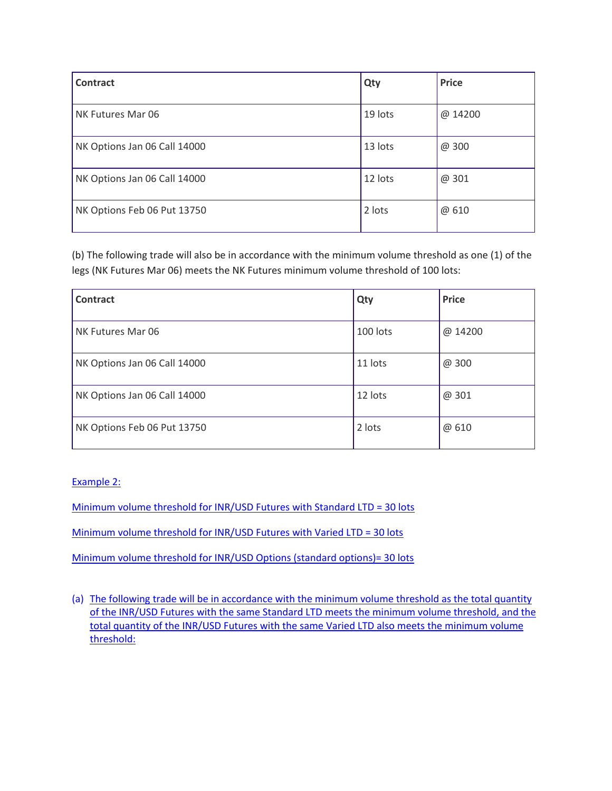| Contract                     | Qty     | <b>Price</b> |
|------------------------------|---------|--------------|
| NK Futures Mar 06            | 19 lots | @ 14200      |
| NK Options Jan 06 Call 14000 | 13 lots | @ 300        |
| NK Options Jan 06 Call 14000 | 12 lots | @ 301        |
| NK Options Feb 06 Put 13750  | 2 lots  | @ 610        |

(b) The following trade will also be in accordance with the minimum volume threshold as one (1) of the legs (NK Futures Mar 06) meets the NK Futures minimum volume threshold of 100 lots:

| <b>Contract</b>              | Qty      | <b>Price</b> |
|------------------------------|----------|--------------|
| NK Futures Mar 06            | 100 lots | @ 14200      |
| NK Options Jan 06 Call 14000 | 11 lots  | @ 300        |
| NK Options Jan 06 Call 14000 | 12 lots  | @ 301        |
| NK Options Feb 06 Put 13750  | 2 lots   | @ 610        |

Example 2:

Minimum volume threshold for INR/USD Futures with Standard LTD = 30 lots

Minimum volume threshold for INR/USD Futures with Varied LTD = 30 lots

Minimum volume threshold for INR/USD Options (standard options)= 30 lots

(a) The following trade will be in accordance with the minimum volume threshold as the total quantity of the INR/USD Futures with the same Standard LTD meets the minimum volume threshold, and the total quantity of the INR/USD Futures with the same Varied LTD also meets the minimum volume threshold: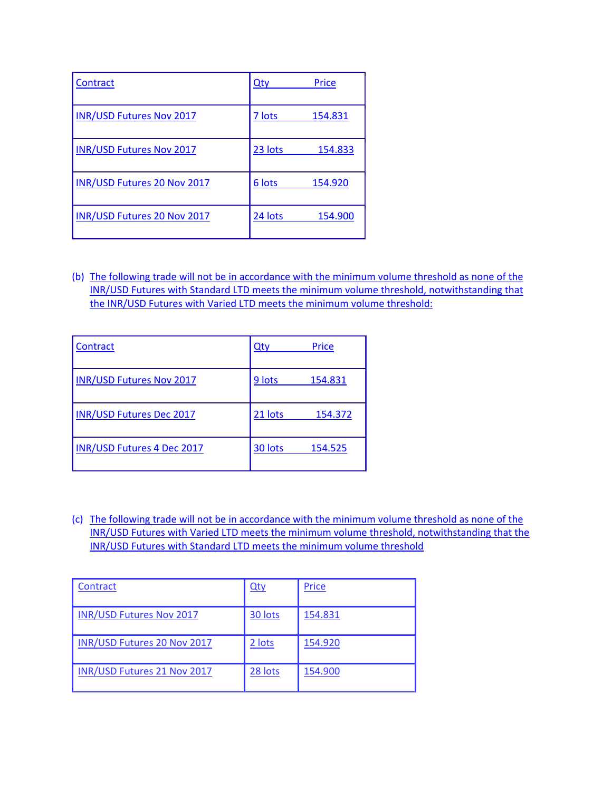| Contract                        | $Q$ ty  | Price   |
|---------------------------------|---------|---------|
| <b>INR/USD Futures Nov 2017</b> | 7 lots  | 154.831 |
| <b>INR/USD Futures Nov 2017</b> | 23 lots | 154.833 |
| INR/USD Futures 20 Nov 2017     | 6 lots  | 154.920 |
| INR/USD Futures 20 Nov 2017     | 24 lots | 154.900 |

(b) The following trade will not be in accordance with the minimum volume threshold as none of the INR/USD Futures with Standard LTD meets the minimum volume threshold, notwithstanding that the INR/USD Futures with Varied LTD meets the minimum volume threshold:

| Contract                          | $Q$ ty  | Price   |
|-----------------------------------|---------|---------|
| <b>INR/USD Futures Nov 2017</b>   | 9 lots  | 154.831 |
| <b>INR/USD Futures Dec 2017</b>   | 21 lots | 154.372 |
| <b>INR/USD Futures 4 Dec 2017</b> | 30 lots | 154.525 |

(c) The following trade will not be in accordance with the minimum volume threshold as none of the INR/USD Futures with Varied LTD meets the minimum volume threshold, notwithstanding that the INR/USD Futures with Standard LTD meets the minimum volume threshold

| Contract                        | <u>Qty</u> | Price   |
|---------------------------------|------------|---------|
| <b>INR/USD Futures Nov 2017</b> | 30 lots    | 154.831 |
| INR/USD Futures 20 Nov 2017     | 2 lots     | 154.920 |
| INR/USD Futures 21 Nov 2017     | 28 lots    | 154.900 |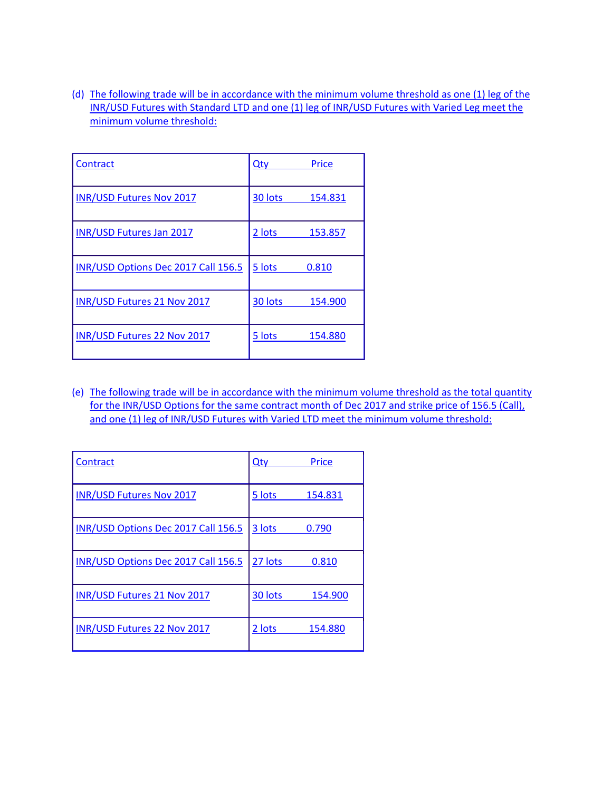(d) The following trade will be in accordance with the minimum volume threshold as one (1) leg of the INR/USD Futures with Standard LTD and one (1) leg of INR/USD Futures with Varied Leg meet the minimum volume threshold:

| Contract                            | Price<br>Qty       |
|-------------------------------------|--------------------|
| <b>INR/USD Futures Nov 2017</b>     | 30 lots<br>154.831 |
| <b>INR/USD Futures Jan 2017</b>     | 2 lots<br>153.857  |
| INR/USD Options Dec 2017 Call 156.5 | 5 lots<br>0.810    |
| INR/USD Futures 21 Nov 2017         | 30 lots<br>154.900 |
| <b>INR/USD Futures 22 Nov 2017</b>  | 5 lots<br>154.880  |

(e) The following trade will be in accordance with the minimum volume threshold as the total quantity for the INR/USD Options for the same contract month of Dec 2017 and strike price of 156.5 (Call), and one (1) leg of INR/USD Futures with Varied LTD meet the minimum volume threshold:

| Contract                            | Qty     | Price   |
|-------------------------------------|---------|---------|
| <b>INR/USD Futures Nov 2017</b>     | 5 lots  | 154.831 |
| INR/USD Options Dec 2017 Call 156.5 | 3 lots  | 0.790   |
| INR/USD Options Dec 2017 Call 156.5 | 27 lots | 0.810   |
| <b>INR/USD Futures 21 Nov 2017</b>  | 30 lots | 154.900 |
| INR/USD Futures 22 Nov 2017         | 2 lots  | 154.880 |